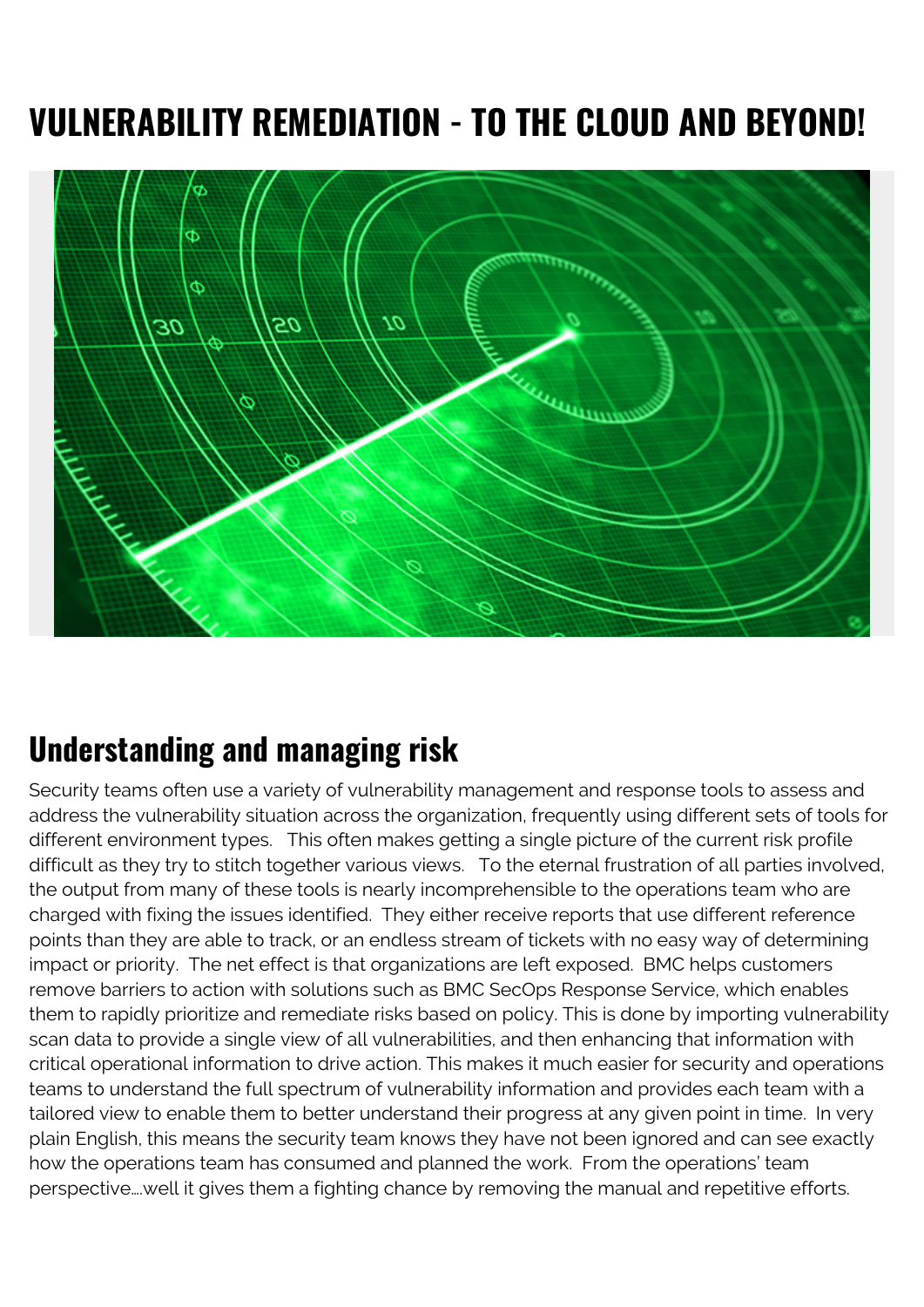## **VULNERABILITY REMEDIATION - TO THE CLOUD AND BEYOND!**



## **Understanding and managing risk**

Security teams often use a variety of vulnerability management and response tools to assess and address the vulnerability situation across the organization, frequently using different sets of tools for different environment types. This often makes getting a single picture of the current risk profile difficult as they try to stitch together various views. To the eternal frustration of all parties involved, the output from many of these tools is nearly incomprehensible to the operations team who are charged with fixing the issues identified. They either receive reports that use different reference points than they are able to track, or an endless stream of tickets with no easy way of determining impact or priority. The net effect is that organizations are left exposed. BMC helps customers remove barriers to action with solutions such as BMC SecOps Response Service, which enables them to rapidly prioritize and remediate risks based on policy. This is done by importing vulnerability scan data to provide a single view of all vulnerabilities, and then enhancing that information with critical operational information to drive action. This makes it much easier for security and operations teams to understand the full spectrum of vulnerability information and provides each team with a tailored view to enable them to better understand their progress at any given point in time. In very plain English, this means the security team knows they have not been ignored and can see exactly how the operations team has consumed and planned the work. From the operations' team perspective….well it gives them a fighting chance by removing the manual and repetitive efforts.